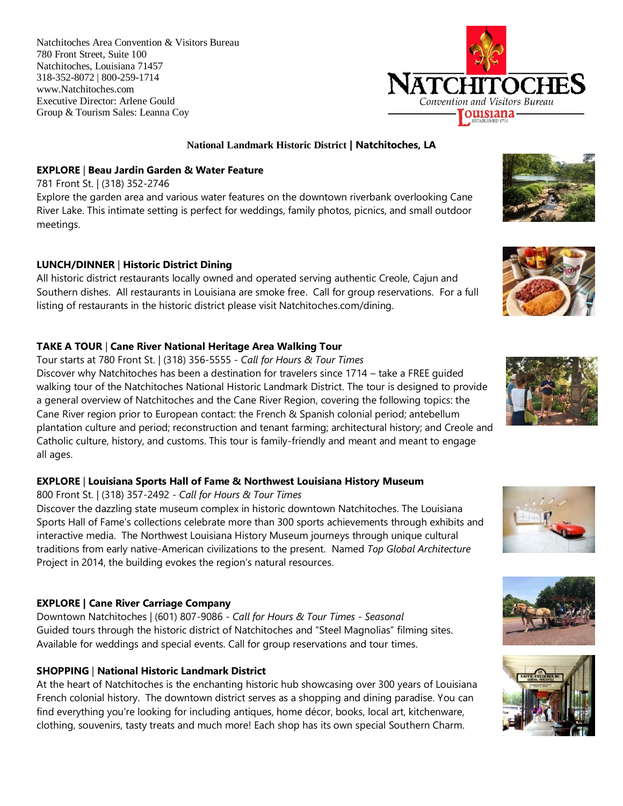Natchitoches Area Convention & Visitors Bureau 780 Front Street, Suite 100 Natchitoches, Louisiana 71457 318-352-8072 | 800-259-1714 www.Natchitoches.com Executive Director: Arlene Gould Group & Tourism Sales: Leanna Coy



#### **National Landmark Historic District | Natchitoches, LA**

#### **EXPLORE** | **Beau Jardin Garden & Water Feature**

781 Front St. | (318) 352-2746 Explore the garden area and various water features on the downtown riverbank overlooking Cane River Lake. This intimate setting is perfect for weddings, family photos, picnics, and small outdoor meetings.

## **LUNCH/DINNER** | **Historic District Dining**

All historic district restaurants locally owned and operated serving authentic Creole, Cajun and Southern dishes. All restaurants in Louisiana are smoke free. Call for group reservations. For a full listing of restaurants in the historic district please visit Natchitoches.com/dining.

## **TAKE A TOUR** | **Cane River National Heritage Area Walking Tour**

Tour starts at 780 Front St. | (318) 356-5555 *- Call for Hours & Tour Times*

Discover why Natchitoches has been a destination for travelers since 1714 – take a FREE guided walking tour of the Natchitoches National Historic Landmark District. The tour is designed to provide a general overview of Natchitoches and the Cane River Region, covering the following topics: the Cane River region prior to European contact: the French & Spanish colonial period; antebellum plantation culture and period; reconstruction and tenant farming; architectural history; and Creole and Catholic culture, history, and customs. This tour is family-friendly and meant and meant to engage all ages.

# **EXPLORE** | **Louisiana Sports Hall of Fame & Northwest Louisiana History Museum**

#### 800 Front St. | (318) 357-2492 - *Call for Hours & Tour Times*

Discover the dazzling state museum complex in historic downtown Natchitoches. The Louisiana Sports Hall of Fame's collections celebrate more than 300 sports achievements through exhibits and interactive media. The Northwest Louisiana History Museum journeys through unique cultural traditions from early native-American civilizations to the present. Named *Top Global Architecture* Project in 2014, the building evokes the region's natural resources.

# **EXPLORE | Cane River Carriage Company**

Downtown Natchitoches | (601) 807-9086 - *Call for Hours & Tour Times - Seasonal* Guided tours through the historic district of Natchitoches and "Steel Magnolias" filming sites. Available for weddings and special events. Call for group reservations and tour times.

# **SHOPPING** | **National Historic Landmark District**

At the heart of Natchitoches is the enchanting historic hub showcasing over 300 years of Louisiana French colonial history. The downtown district serves as a shopping and dining paradise. You can find everything you're looking for including antiques, home décor, books, local art, kitchenware, clothing, souvenirs, tasty treats and much more! Each shop has its own special Southern Charm.